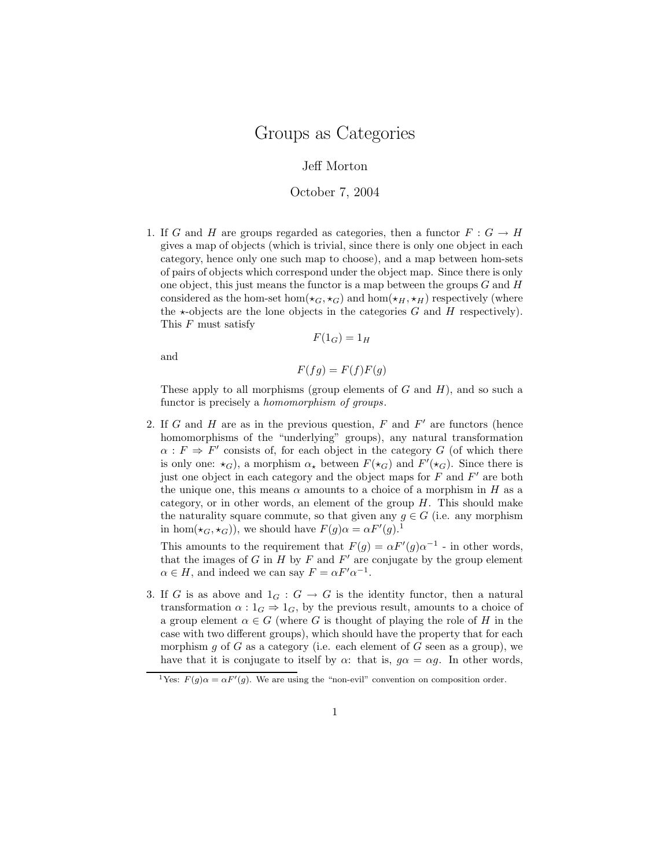## Jeff Morton

## October 7, 2004

1. If G and H are groups regarded as categories, then a functor  $F: G \to H$ gives a map of objects (which is trivial, since there is only one object in each category, hence only one such map to choose), and a map between hom-sets of pairs of objects which correspond under the object map. Since there is only one object, this just means the functor is a map between the groups  $G$  and  $H$ considered as the hom-set hom( $\star_G$ ,  $\star_G$ ) and hom( $\star_H$ ,  $\star_H$ ) respectively (where the  $\star$ -objects are the lone objects in the categories G and H respectively). This  $F$  must satisfy

$$
F(1_G) = 1_H
$$

and

$$
F(fg) = F(f)F(g)
$$

These apply to all morphisms (group elements of  $G$  and  $H$ ), and so such a functor is precisely a homomorphism of groups.

2. If G and H are as in the previous question,  $F$  and  $F'$  are functors (hence homomorphisms of the "underlying" groups), any natural transformation  $\alpha$ :  $F \Rightarrow F'$  consists of, for each object in the category G (of which there is only one:  $\star_G$ ), a morphism  $\alpha_{\star}$  between  $F(\star_G)$  and  $F'(\star_G)$ . Since there is just one object in each category and the object maps for  $\overline{F}$  and  $F'$  are both the unique one, this means  $\alpha$  amounts to a choice of a morphism in H as a category, or in other words, an element of the group  $H$ . This should make the naturality square commute, so that given any  $g \in G$  (i.e. any morphism in hom $(\star_G, \star_G)$ , we should have  $F(g) \alpha = \alpha F'(g)$ .<sup>1</sup>

This amounts to the requirement that  $F(g) = \alpha F'(g) \alpha^{-1}$  - in other words, that the images of G in  $H$  by F and  $F'$  are conjugate by the group element  $\alpha \in H$ , and indeed we can say  $F = \alpha F' \alpha^{-1}$ .

3. If G is as above and  $1_G : G \to G$  is the identity functor, then a natural transformation  $\alpha: 1_G \Rightarrow 1_G$ , by the previous result, amounts to a choice of a group element  $\alpha \in G$  (where G is thought of playing the role of H in the case with two different groups), which should have the property that for each morphism q of G as a category (i.e. each element of G seen as a group), we have that it is conjugate to itself by  $\alpha$ : that is,  $q\alpha = \alpha q$ . In other words,

<sup>&</sup>lt;sup>1</sup>Yes:  $F(g)\alpha = \alpha F'(g)$ . We are using the "non-evil" convention on composition order.